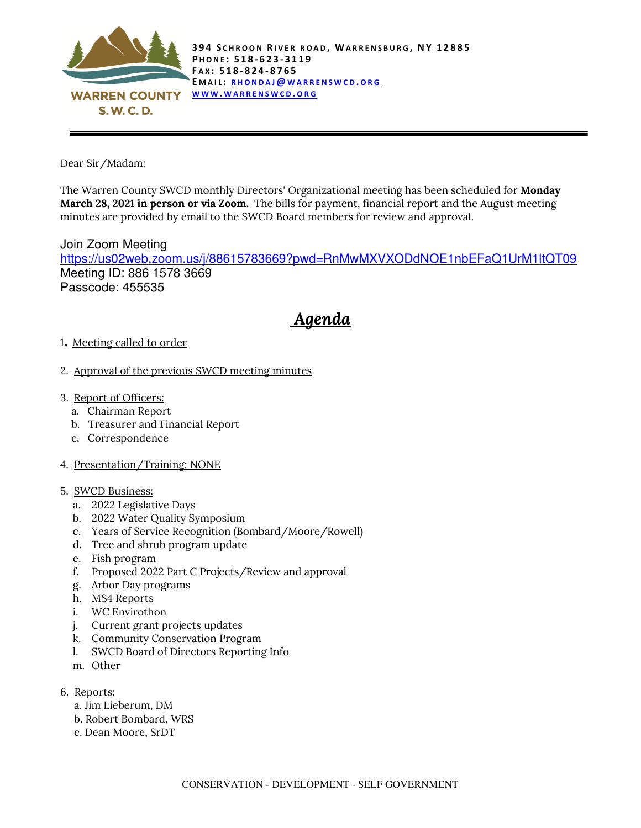

Dear Sir/Madam:

The Warren County SWCD monthly Directors' Organizational meeting has been scheduled for Monday March 28, 2021 in person or via Zoom. The bills for payment, financial report and the August meeting minutes are provided by email to the SWCD Board members for review and approval.

Join Zoom Meeting https://us02web.zoom.us/j/88615783669?pwd=RnMwMXVXODdNOE1nbEFaQ1UrM1ltQT09 Meeting ID: 886 1578 3669 Passcode: 455535

## Agenda

- <sup>1</sup>. Meeting called to order
- 2. Approval of the previous SWCD meeting minutes
- 3. Report of Officers:
	- a. Chairman Report
	- b. Treasurer and Financial Report
	- c. Correspondence
- 4. Presentation/Training: NONE
- 5. SWCD Business:
	- a. 2022 Legislative Days
	- b. 2022 Water Quality Symposium
	- c. Years of Service Recognition (Bombard/Moore/Rowell)
	- d. Tree and shrub program update
	- e. Fish program
	- f. Proposed 2022 Part C Projects/Review and approval
	- g. Arbor Day programs
	- h. MS4 Reports
	- i. WC Envirothon
	- j. Current grant projects updates
	- k. Community Conservation Program
	- l. SWCD Board of Directors Reporting Info
	- m. Other
- 6. Reports:
	- a. Jim Lieberum, DM
	- b. Robert Bombard, WRS
	- c. Dean Moore, SrDT